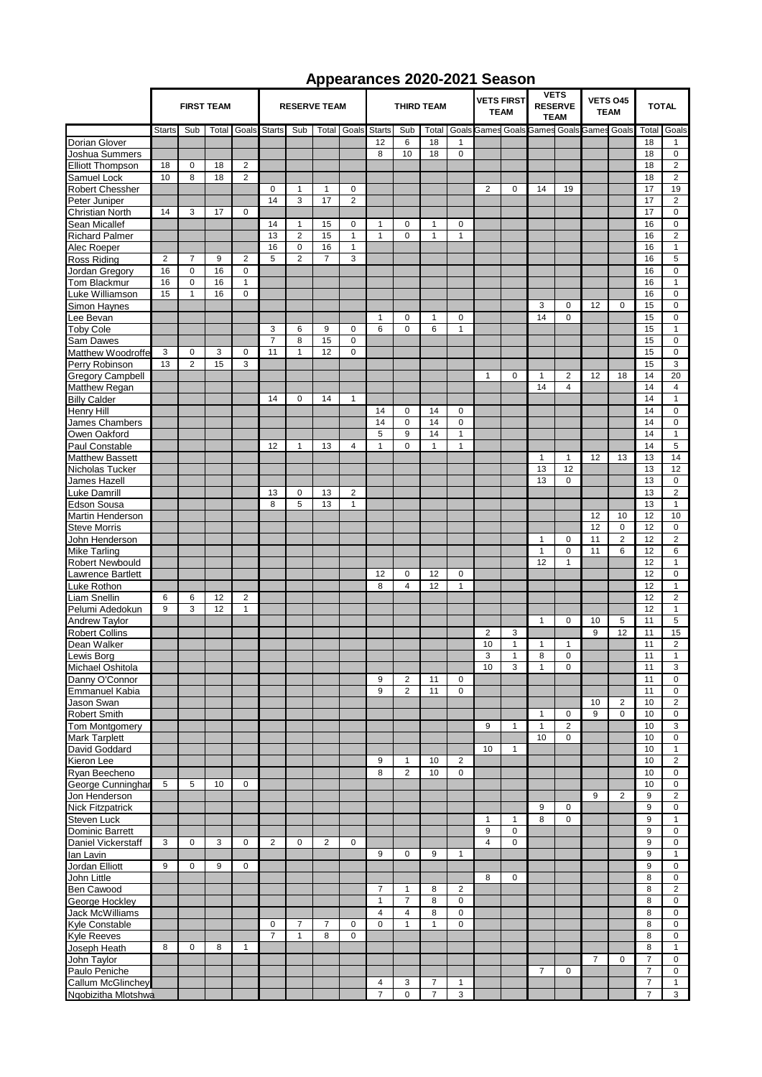## **Appearances 2020-2021 Season**

|                         |                         |                |       |                     |                |                |                |                         | Appearances zuzu-zuz i oeasun |                |                |                                  |                |                                              |                |                                     |                |                |                |                |
|-------------------------|-------------------------|----------------|-------|---------------------|----------------|----------------|----------------|-------------------------|-------------------------------|----------------|----------------|----------------------------------|----------------|----------------------------------------------|----------------|-------------------------------------|----------------|----------------|----------------|----------------|
|                         | <b>FIRST TEAM</b>       |                |       | <b>RESERVE TEAM</b> |                |                |                | <b>THIRD TEAM</b>       |                               |                |                | <b>VETS FIRST</b><br><b>TEAM</b> |                | <b>VETS</b><br><b>RESERVE</b><br><b>TEAM</b> |                | <b>VETS 045</b><br><b>TEAM</b>      |                | <b>TOTAL</b>   |                |                |
|                         | <b>Starts</b>           | Sub            | Total | Goals               | Starts         | Sub            |                | <b>Total Goals</b>      | <b>Starts</b>                 | Sub            | Total          | Goals                            |                |                                              |                | Games Goals Games Goals Games Goals |                |                | Total          | Goals          |
| Dorian Glover           |                         |                |       |                     |                |                |                |                         | 12                            | 6              | 18             | 1                                |                |                                              |                |                                     |                |                | 18             | $\mathbf{1}$   |
| Joshua Summers          |                         |                |       |                     |                |                |                |                         | 8                             | 10             | 18             | $\mathbf 0$                      |                |                                              |                |                                     |                |                | 18             | $\mathbf 0$    |
| <b>Elliott Thompson</b> | 18                      | $\mathbf 0$    | 18    | $\overline{2}$      |                |                |                |                         |                               |                |                |                                  |                |                                              |                |                                     |                |                | 18             | 2              |
| Samuel Lock             | 10                      | 8              | 18    | 2                   |                |                |                |                         |                               |                |                |                                  |                |                                              |                |                                     |                |                | 18             | $\overline{2}$ |
| <b>Robert Chessher</b>  |                         |                |       |                     | 0              | $\mathbf{1}$   | $\mathbf{1}$   | 0                       |                               |                |                |                                  | 2              | 0                                            | 14             | 19                                  |                |                | 17             | 19             |
| Peter Juniper           |                         |                |       |                     | 14             | 3              | 17             | $\overline{2}$          |                               |                |                |                                  |                |                                              |                |                                     |                |                | 17             | $\overline{2}$ |
| Christian North         | 14                      | 3              | 17    | $\Omega$            |                |                |                |                         |                               |                |                |                                  |                |                                              |                |                                     |                |                | 17             | $\mathbf 0$    |
| Sean Micallef           |                         |                |       |                     | 14             | $\mathbf{1}$   | 15             | $\pmb{0}$               | $\mathbf{1}$                  | 0              | $\mathbf{1}$   | $\mathbf 0$                      |                |                                              |                |                                     |                |                | 16             | $\mathbf 0$    |
| <b>Richard Palmer</b>   |                         |                |       |                     | 13             | $\overline{c}$ | 15             | $\mathbf{1}$            | $\mathbf{1}$                  | 0              | $\mathbf{1}$   | $\mathbf{1}$                     |                |                                              |                |                                     |                |                | 16             | $\overline{2}$ |
| Alec Roeper             |                         |                |       |                     | 16             | $\pmb{0}$      | 16             | $\mathbf{1}$            |                               |                |                |                                  |                |                                              |                |                                     |                |                | 16             | $\mathbf{1}$   |
| Ross Riding             | $\overline{\mathbf{c}}$ | $\overline{7}$ | 9     | 2                   | 5              | $\overline{2}$ | $\overline{7}$ | 3                       |                               |                |                |                                  |                |                                              |                |                                     |                |                | 16             | $\sqrt{5}$     |
| Jordan Gregory          | 16                      | $\mathbf 0$    | 16    | $\mathbf 0$         |                |                |                |                         |                               |                |                |                                  |                |                                              |                |                                     |                |                | 16             | $\pmb{0}$      |
| Tom Blackmur            | 16                      | $\mathsf 0$    | 16    | $\mathbf{1}$        |                |                |                |                         |                               |                |                |                                  |                |                                              |                |                                     |                |                | 16             | $\mathbf{1}$   |
| Luke Williamson         | 15                      | $\mathbf{1}$   | 16    | $\mathbf 0$         |                |                |                |                         |                               |                |                |                                  |                |                                              |                |                                     |                |                | 16             | $\mathbf 0$    |
| Simon Haynes            |                         |                |       |                     |                |                |                |                         |                               |                |                |                                  |                |                                              | 3              | $\mathbf 0$                         | 12             | 0              | 15             | $\mathbf 0$    |
| Lee Bevan               |                         |                |       |                     |                |                |                |                         | $\mathbf{1}$                  | $\mathbf 0$    | 1              | $\mathbf 0$                      |                |                                              | 14             | 0                                   |                |                | 15             | $\mathbf 0$    |
| <b>Toby Cole</b>        |                         |                |       |                     | 3              | 6              | 9              | $\mathbf 0$             | 6                             | 0              | 6              | $\mathbf{1}$                     |                |                                              |                |                                     |                |                | 15             | $\mathbf{1}$   |
| Sam Dawes               |                         |                |       |                     | $\overline{7}$ | 8              | 15             | $\mathbf 0$             |                               |                |                |                                  |                |                                              |                |                                     |                |                | 15             | $\mathbf 0$    |
| Matthew Woodroffe       | 3                       | $\mathsf 0$    | 3     | $\mathbf 0$         | 11             | $\mathbf{1}$   | 12             | $\mathbf 0$             |                               |                |                |                                  |                |                                              |                |                                     |                |                | 15             | $\pmb{0}$      |
| Perry Robinson          | 13                      | $\overline{2}$ | 15    | 3                   |                |                |                |                         |                               |                |                |                                  |                |                                              |                |                                     |                |                | 15             | 3              |
| <b>Gregory Campbell</b> |                         |                |       |                     |                |                |                |                         |                               |                |                |                                  | $\mathbf{1}$   | $\mathbf 0$                                  | $\mathbf{1}$   | $\overline{2}$                      | 12             | 18             | 14             | 20             |
| Matthew Regan           |                         |                |       |                     |                |                |                |                         |                               |                |                |                                  |                |                                              | 14             | $\overline{4}$                      |                |                | 14             | $\overline{4}$ |
| <b>Billy Calder</b>     |                         |                |       |                     | 14             | $\mathbf 0$    | 14             | $\mathbf{1}$            |                               |                |                |                                  |                |                                              |                |                                     |                |                | 14             | $\mathbf{1}$   |
| Henry Hill              |                         |                |       |                     |                |                |                |                         | 14                            | 0              | 14             | $\mathbf 0$                      |                |                                              |                |                                     |                |                | 14             | 0              |
| James Chambers          |                         |                |       |                     |                |                |                |                         | 14                            | $\mathbf 0$    | 14             | $\mathbf 0$                      |                |                                              |                |                                     |                |                | 14             | $\mathbf 0$    |
| Owen Oakford            |                         |                |       |                     |                |                |                |                         | 5                             | 9              | 14             | $\mathbf{1}$                     |                |                                              |                |                                     |                |                | 14             | $\mathbf{1}$   |
|                         |                         |                |       |                     | 12             | $\mathbf{1}$   | 13             | $\overline{4}$          | $\mathbf{1}$                  | $\overline{0}$ | $\mathbf{1}$   | $\mathbf{1}$                     |                |                                              |                |                                     |                |                | 14             | 5              |
| Paul Constable          |                         |                |       |                     |                |                |                |                         |                               |                |                |                                  |                |                                              |                |                                     |                |                |                |                |
| <b>Matthew Bassett</b>  |                         |                |       |                     |                |                |                |                         |                               |                |                |                                  |                |                                              | 1              | $\mathbf{1}$                        | 12             | 13             | 13             | 14             |
| Nicholas Tucker         |                         |                |       |                     |                |                |                |                         |                               |                |                |                                  |                |                                              | 13             | 12                                  |                |                | 13             | 12             |
| James Hazell            |                         |                |       |                     |                |                |                |                         |                               |                |                |                                  |                |                                              | 13             | $\mathbf 0$                         |                |                | 13             | $\mathsf 0$    |
| Luke Damrill            |                         |                |       |                     | 13             | $\mathbf 0$    | 13             | $\overline{\mathbf{c}}$ |                               |                |                |                                  |                |                                              |                |                                     |                |                | 13             | $\overline{2}$ |
| <b>Edson Sousa</b>      |                         |                |       |                     | 8              | 5              | 13             | 1                       |                               |                |                |                                  |                |                                              |                |                                     |                |                | 13             | $\mathbf{1}$   |
| Martin Henderson        |                         |                |       |                     |                |                |                |                         |                               |                |                |                                  |                |                                              |                |                                     | 12             | 10             | 12             | 10             |
| <b>Steve Morris</b>     |                         |                |       |                     |                |                |                |                         |                               |                |                |                                  |                |                                              |                |                                     | 12             | $\mathbf 0$    | 12             | $\pmb{0}$      |
| John Henderson          |                         |                |       |                     |                |                |                |                         |                               |                |                |                                  |                |                                              | $\mathbf{1}$   | $\pmb{0}$                           | 11             | $\overline{2}$ | 12             | $\overline{2}$ |
| Mike Tarling            |                         |                |       |                     |                |                |                |                         |                               |                |                |                                  |                |                                              | $\mathbf{1}$   | $\pmb{0}$                           | 11             | 6              | 12             | 6              |
| <b>Robert Newbould</b>  |                         |                |       |                     |                |                |                |                         |                               |                |                |                                  |                |                                              | 12             | $\mathbf{1}$                        |                |                | 12             | $\mathbf{1}$   |
| Lawrence Bartlett       |                         |                |       |                     |                |                |                |                         | 12                            | 0              | 12             | $\mathbf 0$                      |                |                                              |                |                                     |                |                | 12             | $\mathbf 0$    |
| Luke Rothon             |                         |                |       |                     |                |                |                |                         | 8                             | $\overline{4}$ | 12             | $\mathbf{1}$                     |                |                                              |                |                                     |                |                | 12             | $\mathbf{1}$   |
| Liam Snellin            | 6                       | 6              | 12    | $\overline{2}$      |                |                |                |                         |                               |                |                |                                  |                |                                              |                |                                     |                |                | 12             | $\overline{2}$ |
| Pelumi Adedokun         | 9                       | 3              | 12    | $\mathbf{1}$        |                |                |                |                         |                               |                |                |                                  |                |                                              |                |                                     |                |                | 12             | $\mathbf{1}$   |
| Andrew Taylor           |                         |                |       |                     |                |                |                |                         |                               |                |                |                                  |                |                                              | $\mathbf{1}$   | 0                                   | 10             | 5              | 11             | 5              |
| <b>Robert Collins</b>   |                         |                |       |                     |                |                |                |                         |                               |                |                |                                  | $\overline{2}$ | 3                                            |                |                                     | 9              | 12             | 11             | 15             |
| Dean Walker             |                         |                |       |                     |                |                |                |                         |                               |                |                |                                  | 10             | 1                                            | $\mathbf{1}$   | 1                                   |                |                | 11             | $\overline{2}$ |
| Lewis Borg              |                         |                |       |                     |                |                |                |                         |                               |                |                |                                  | J.             |                                              | 8              | 0                                   |                |                | 11             |                |
| Michael Oshitola        |                         |                |       |                     |                |                |                |                         |                               |                |                |                                  | 10             | 3                                            | $\mathbf{1}$   | 0                                   |                |                | 11             | 3              |
| Danny O'Connor          |                         |                |       |                     |                |                |                |                         | 9                             | $\overline{2}$ | 11             | 0                                |                |                                              |                |                                     |                |                | 11             | 0              |
| Emmanuel Kabia          |                         |                |       |                     |                |                |                |                         | 9                             | $\overline{2}$ | 11             | $\mathbf 0$                      |                |                                              |                |                                     |                |                | 11             | 0              |
| Jason Swan              |                         |                |       |                     |                |                |                |                         |                               |                |                |                                  |                |                                              |                |                                     | 10             | 2              | 10             | 2              |
| <b>Robert Smith</b>     |                         |                |       |                     |                |                |                |                         |                               |                |                |                                  |                |                                              | $\mathbf{1}$   | $\mathbf 0$                         | 9              | $\mathbf 0$    | 10             | 0              |
| Tom Montgomery          |                         |                |       |                     |                |                |                |                         |                               |                |                |                                  | 9              | $\mathbf{1}$                                 | $\mathbf{1}$   | 2                                   |                |                | 10             | 3              |
| <b>Mark Tarplett</b>    |                         |                |       |                     |                |                |                |                         |                               |                |                |                                  |                |                                              | 10             | 0                                   |                |                | 10             | 0              |
| David Goddard           |                         |                |       |                     |                |                |                |                         |                               |                |                |                                  | 10             | $\mathbf{1}$                                 |                |                                     |                |                | 10             | $\mathbf{1}$   |
| Kieron Lee              |                         |                |       |                     |                |                |                |                         | 9                             | $\mathbf{1}$   | 10             | $\overline{2}$                   |                |                                              |                |                                     |                |                | 10             | $\overline{2}$ |
| Ryan Beecheno           |                         |                |       |                     |                |                |                |                         | 8                             | $\overline{2}$ | 10             | 0                                |                |                                              |                |                                     |                |                | 10             | 0              |
| George Cunninghar       | 5                       | 5              | 10    | $\mathbf 0$         |                |                |                |                         |                               |                |                |                                  |                |                                              |                |                                     |                |                | 10             | $\mathbf 0$    |
| Jon Henderson           |                         |                |       |                     |                |                |                |                         |                               |                |                |                                  |                |                                              |                |                                     | 9              | 2              | 9              | 2              |
| <b>Nick Fitzpatrick</b> |                         |                |       |                     |                |                |                |                         |                               |                |                |                                  |                |                                              | 9              | 0                                   |                |                | 9              | $\mathbf 0$    |
| Steven Luck             |                         |                |       |                     |                |                |                |                         |                               |                |                |                                  | $\mathbf{1}$   | $\mathbf{1}$                                 | 8              | $\mathbf 0$                         |                |                | 9              | $\mathbf{1}$   |
| Dominic Barrett         |                         |                |       |                     |                |                |                |                         |                               |                |                |                                  | 9              | $\pmb{0}$                                    |                |                                     |                |                | 9              | $\mathbf 0$    |
| Daniel Vickerstaff      | 3                       | 0              | 3     | $\mathbf 0$         | $\overline{2}$ | 0              | 2              | $\mathbf 0$             |                               |                |                |                                  | $\overline{4}$ | 0                                            |                |                                     |                |                | 9              | 0              |
| lan Lavin               |                         |                |       |                     |                |                |                |                         | 9                             | $\mathbf 0$    | 9              | $\mathbf{1}$                     |                |                                              |                |                                     |                |                | 9              | $\mathbf{1}$   |
| Jordan Elliott          | 9                       | $\mathbf 0$    | 9     | $\mathbf 0$         |                |                |                |                         |                               |                |                |                                  |                |                                              |                |                                     |                |                | 9              | $\mathbf 0$    |
| John Little             |                         |                |       |                     |                |                |                |                         |                               |                |                |                                  | 8              | 0                                            |                |                                     |                |                | 8              | $\mathbf 0$    |
| Ben Cawood              |                         |                |       |                     |                |                |                |                         | $\overline{7}$                | 1              | 8              | $\overline{\mathbf{c}}$          |                |                                              |                |                                     |                |                | 8              | $\overline{2}$ |
| George Hockley          |                         |                |       |                     |                |                |                |                         | $\mathbf{1}$                  | $\overline{7}$ | 8              | $\mathbf 0$                      |                |                                              |                |                                     |                |                | 8              | $\mathbf 0$    |
| <b>Jack McWilliams</b>  |                         |                |       |                     |                |                |                |                         | 4                             | 4              | 8              | $\mathbf 0$                      |                |                                              |                |                                     |                |                | 8              | 0              |
|                         |                         |                |       |                     | $\mathsf 0$    | 7              | 7              | 0                       | 0                             | 1              | 1              | $\mathbf 0$                      |                |                                              |                |                                     |                |                | 8              | 0              |
| Kyle Constable          |                         |                |       |                     | $\overline{7}$ | $\mathbf{1}$   | 8              | $\mathbf 0$             |                               |                |                |                                  |                |                                              |                |                                     |                |                | 8              | 0              |
| Kyle Reeves             |                         |                |       |                     |                |                |                |                         |                               |                |                |                                  |                |                                              |                |                                     |                |                |                |                |
| Joseph Heath            | 8                       | $\mathbf 0$    | 8     | $\mathbf{1}$        |                |                |                |                         |                               |                |                |                                  |                |                                              |                |                                     |                |                | 8              | $\mathbf{1}$   |
| John Taylor             |                         |                |       |                     |                |                |                |                         |                               |                |                |                                  |                |                                              |                |                                     | $\overline{7}$ | 0              | $\overline{7}$ | 0              |
| Paulo Peniche           |                         |                |       |                     |                |                |                |                         |                               |                |                |                                  |                |                                              | $\overline{7}$ | $\mathbf 0$                         |                |                | $\overline{7}$ | 0              |
| Callum McGlinchey       |                         |                |       |                     |                |                |                |                         | $\overline{4}$                | 3              | $\overline{7}$ | $\mathbf{1}$                     |                |                                              |                |                                     |                |                | $\overline{7}$ | $\mathbf{1}$   |
| Ngobizitha Mlotshwa     |                         |                |       |                     |                |                |                |                         | $\overline{7}$                | 0              | $\overline{7}$ | 3                                |                |                                              |                |                                     |                |                | $\overline{7}$ | 3              |